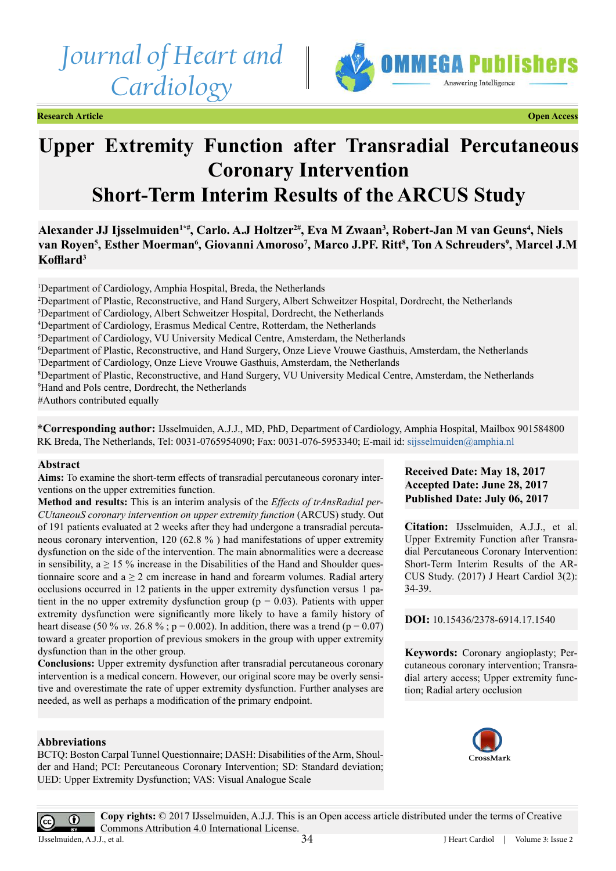# *Journal of Heart and Cardiology*



**Research Article Open Access**

## **Upper Extremity Function after Transradial Percutaneous Coronary Intervention Short-Term Interim Results of the ARCUS Study**

Alexander JJ Ijsselmuiden<sup>1\*#</sup>, Carlo. A.J Holtzer<sup>2#</sup>, Eva M Zwaan<sup>3</sup>, Robert-Jan M van Geuns<sup>4</sup>, Niels van Royen<sup>5</sup>, Esther Moerman<sup>6</sup>, Giovanni Amoroso<sup>7</sup>, Marco J.PF. Ritt<sup>8</sup>, Ton A Schreuders<sup>9</sup>, Marcel J.M **Kofflard<sup>3</sup>**

<sup>1</sup>Department of Cardiology, Amphia Hospital, Breda, the Netherlands Department of Plastic, Reconstructive, and Hand Surgery, Albert Schweitzer Hospital, Dordrecht, the Netherlands Department of Cardiology, Albert Schweitzer Hospital, Dordrecht, the Netherlands Department of Cardiology, Erasmus Medical Centre, Rotterdam, the Netherlands Department of Cardiology, VU University Medical Centre, Amsterdam, the Netherlands Department of Plastic, Reconstructive, and Hand Surgery, Onze Lieve Vrouwe Gasthuis, Amsterdam, the Netherlands Department of Cardiology, Onze Lieve Vrouwe Gasthuis, Amsterdam, the Netherlands Department of Plastic, Reconstructive, and Hand Surgery, VU University Medical Centre, Amsterdam, the Netherlands Hand and Pols centre, Dordrecht, the Netherlands #Authors contributed equally

**\*Corresponding author:** IJsselmuiden, A.J.J., MD, PhD, Department of Cardiology, Amphia Hospital, Mailbox 901584800 RK Breda, The Netherlands, Tel: 0031-0765954090; Fax: 0031-076-5953340; E-mail id: [sijsselmuiden@amphia.nl](mailto:sijsselmuiden@amphia.nl)

#### **Abstract**

**Aims:** To examine the short-term effects of transradial percutaneous coronary interventions on the upper extremities function.

**Method and results:** This is an interim analysis of the *Effects of trAnsRadial per-CUtaneouS coronary intervention on upper extremity function* (ARCUS) study. Out of 191 patients evaluated at 2 weeks after they had undergone a transradial percutaneous coronary intervention, 120 (62.8 % ) had manifestations of upper extremity dysfunction on the side of the intervention. The main abnormalities were a decrease in sensibility,  $a \ge 15$  % increase in the Disabilities of the Hand and Shoulder questionnaire score and  $a \ge 2$  cm increase in hand and forearm volumes. Radial artery occlusions occurred in 12 patients in the upper extremity dysfunction versus 1 patient in the no upper extremity dysfunction group ( $p = 0.03$ ). Patients with upper extremity dysfunction were significantly more likely to have a family history of heart disease (50 % *vs*. 26.8 %;  $p = 0.002$ ). In addition, there was a trend ( $p = 0.07$ ) toward a greater proportion of previous smokers in the group with upper extremity dysfunction than in the other group.

**Conclusions:** Upper extremity dysfunction after transradial percutaneous coronary intervention is a medical concern. However, our original score may be overly sensitive and overestimate the rate of upper extremity dysfunction. Further analyses are needed, as well as perhaps a modification of the primary endpoint.

#### **Abbreviations**

BCTQ: Boston Carpal Tunnel Questionnaire; DASH: Disabilities of the Arm, Shoulder and Hand; PCI: Percutaneous Coronary Intervention; SD: Standard deviation; UED: Upper Extremity Dysfunction; VAS: Visual Analogue Scale

### **Received Date: May 18, 2017 Accepted Date: June 28, 2017 Published Date: July 06, 2017**

**Citation:** IJsselmuiden, A.J.J., et al. Upper Extremity Function after Transradial Percutaneous Coronary Intervention: Short-Term Interim Results of the AR-CUS Study. (2017) J Heart Cardiol 3(2): 34-39.

**DOI:** [10.15436/2378-6914.17.1](https://doi.org/10.15436/2378-6914.17.1540)540

**Keywords:** Coronary angioplasty; Percutaneous coronary intervention; Transradial artery access; Upper extremity function; Radial artery occlusion



 $\odot$ 

**Copy rights:** © 2017 IJsselmuiden, A.J.J. This is an Open access article distributed under the terms of Creative Commons Attribution 4.0 International License. IJsselmuiden, A.J.J., et al.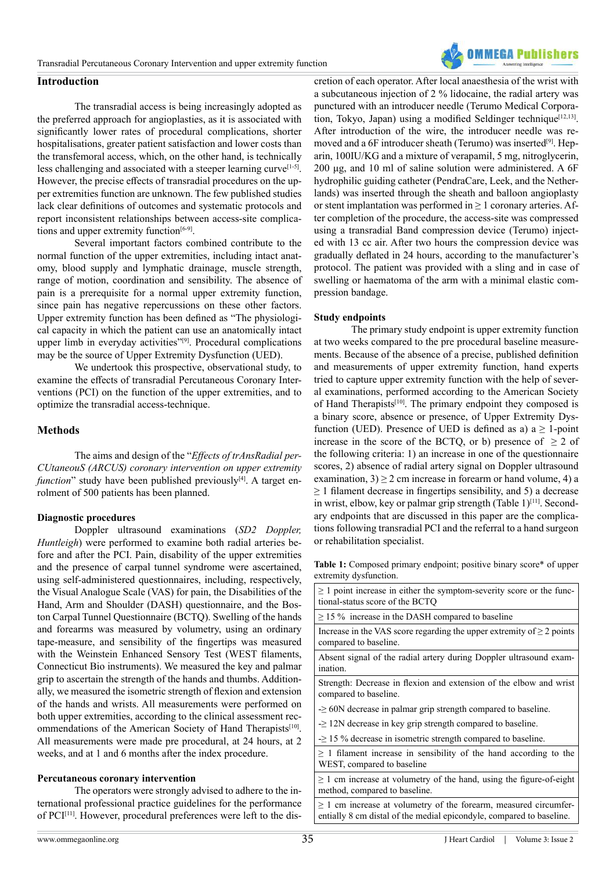

#### **Introduction**

The transradial access is being increasingly adopted as the preferred approach for angioplasties, as it is associated with significantly lower rates of procedural complications, shorter hospitalisations, greater patient satisfaction and lower costs than the transfemoral access, which, on the other hand, is technically less challenging and associated with a steeper learning curve<sup>[1-5]</sup>. However, the precise effects of transradial procedures on the upper extremities function are unknown. The few published studies lack clear definitions of outcomes and systematic protocols and report inconsistent relationships between access-site complications and upper extremity function<sup>[6-9]</sup>.

Several important factors combined contribute to the normal function of the upper extremities, including intact anatomy, blood supply and lymphatic drainage, muscle strength, range of motion, coordination and sensibility. The absence of pain is a prerequisite for a normal upper extremity function, since pain has negative repercussions on these other factors. Upper extremity function has been defined as "The physiological capacity in which the patient can use an anatomically intact upper limb in everyday activities"<sup>[9]</sup>. Procedural complications may be the source of Upper Extremity Dysfunction (UED).

We undertook this prospective, observational study, to examine the effects of transradial Percutaneous Coronary Interventions (PCI) on the function of the upper extremities, and to optimize the transradial access-technique.

#### **Methods**

The aims and design of the "*Effects of trAnsRadial per-CUtaneouS (ARCUS) coronary intervention on upper extremity function*" study have been published previously<sup>[\[4\]](#page-5-3)</sup>. A target enrolment of 500 patients has been planned.

#### **Diagnostic procedures**

Doppler ultrasound examinations (*SD2 Doppler, Huntleigh*) were performed to examine both radial arteries before and after the PCI. Pain, disability of the upper extremities and the presence of carpal tunnel syndrome were ascertained, using self-administered questionnaires, including, respectively, the Visual Analogue Scale (VAS) for pain, the Disabilities of the Hand, Arm and Shoulder (DASH) questionnaire, and the Boston Carpal Tunnel Questionnaire (BCTQ). Swelling of the hands and forearms was measured by volumetry, using an ordinary tape-measure, and sensibility of the fingertips was measured with the Weinstein Enhanced Sensory Test (WEST filaments, Connecticut Bio instruments). We measured the key and palmar grip to ascertain the strength of the hands and thumbs. Additionally, we measured the isometric strength of flexion and extension of the hands and wrists. All measurements were performed on both upper extremities, according to the clinical assessment recommendations of the American Society of Hand Therapists<sup>[10]</sup>. All measurements were made pre procedural, at 24 hours, at 2 weeks, and at 1 and 6 months after the index procedure.

#### **Percutaneous coronary intervention**

The operators were strongly advised to adhere to the international professional practice guidelines for the performance of PCI<sup>[\[11\]](#page-5-5)</sup>. However, procedural preferences were left to the discretion of each operator. After local anaesthesia of the wrist with a subcutaneous injection of 2 % lidocaine, the radial artery was punctured with an introducer needle (Terumo Medical Corporation, Tokyo, Japan) using a modified Seldinger technique<sup>[12,13]</sup>. After introduction of the wire, the introducer needle was removed and a 6F introducer sheath (Terumo) was inserted<sup>[9]</sup>. Heparin, 100IU/KG and a mixture of verapamil, 5 mg, nitroglycerin, 200 μg, and 10 ml of saline solution were administered. A 6F hydrophilic guiding catheter (PendraCare, Leek, and the Netherlands) was inserted through the sheath and balloon angioplasty or stent implantation was performed in  $\geq 1$  coronary arteries. After completion of the procedure, the access-site was compressed using a transradial Band compression device (Terumo) injected with 13 cc air. After two hours the compression device was gradually deflated in 24 hours, according to the manufacturer's protocol. The patient was provided with a sling and in case of swelling or haematoma of the arm with a minimal elastic compression bandage.

#### **Study endpoints**

The primary study endpoint is upper extremity function at two weeks compared to the pre procedural baseline measurements. Because of the absence of a precise, published definition and measurements of upper extremity function, hand experts tried to capture upper extremity function with the help of several examinations, performed according to the American Society of Hand Therapists<sup>[10]</sup>. The primary endpoint they composed is a binary score, absence or presence, of Upper Extremity Dysfunction (UED). Presence of UED is defined as a)  $a \ge 1$ -point increase in the score of the BCTQ, or b) presence of  $\geq 2$  of the following criteria: 1) an increase in one of the questionnaire scores, 2) absence of radial artery signal on Doppler ultrasound examination,  $3 \ge 2$  cm increase in forearm or hand volume, 4) a  $\geq$  1 filament decrease in fingertips sensibility, and 5) a decrease in wrist, elbow, key or palmar grip strength (Table 1)<sup>[11]</sup>. Secondary endpoints that are discussed in this paper are the complications following transradial PCI and the referral to a hand surgeon or rehabilitation specialist.

Table 1: Composed primary endpoint; positive binary score\* of upper extremity dysfunction.

| $\geq 1$ point increase in either the symptom-severity score or the func-<br>tional-status score of the BCTO                                  |
|-----------------------------------------------------------------------------------------------------------------------------------------------|
| $\geq$ 15 % increase in the DASH compared to baseline                                                                                         |
| Increase in the VAS score regarding the upper extremity of $\geq 2$ points<br>compared to baseline.                                           |
| Absent signal of the radial artery during Doppler ultrasound exam-<br>ination.                                                                |
| Strength: Decrease in flexion and extension of the elbow and wrist<br>compared to baseline.                                                   |
| $\geq$ 60N decrease in palmar grip strength compared to baseline.                                                                             |
| $\geq$ 12N decrease in key grip strength compared to baseline.                                                                                |
| $\geq$ 15 % decrease in isometric strength compared to baseline.                                                                              |
| $\geq 1$ filament increase in sensibility of the hand according to the<br>WEST, compared to baseline                                          |
| $\geq 1$ cm increase at volumetry of the hand, using the figure-of-eight<br>method, compared to baseline.                                     |
| $\geq 1$ cm increase at volumetry of the forearm, measured circumfer-<br>entially 8 cm distal of the medial epicondyle, compared to baseline. |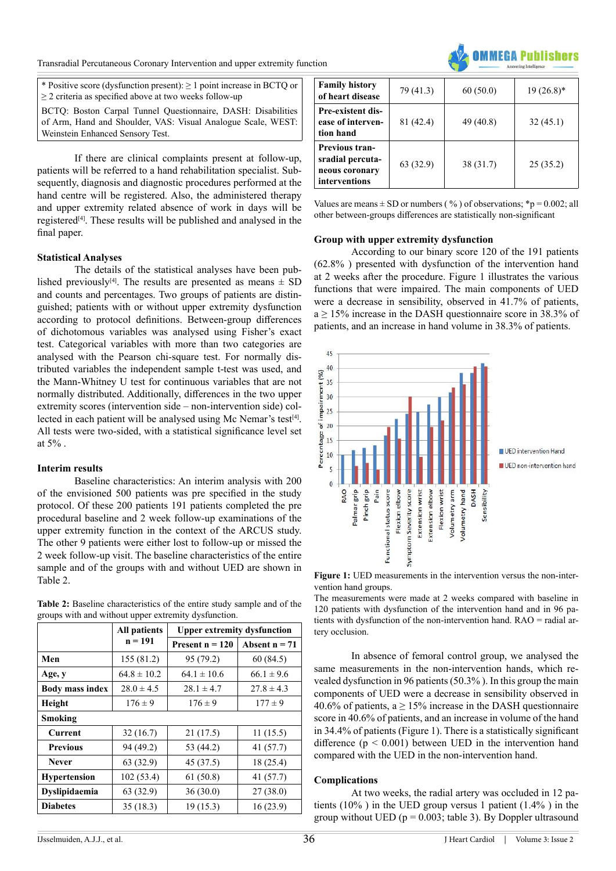

\* Positive score (dysfunction present): ≥ 1 point increase in BCTQ or ≥ 2 criteria as specified above at two weeks follow-up

BCTQ: Boston Carpal Tunnel Questionnaire, DASH: Disabilities of Arm, Hand and Shoulder, VAS: Visual Analogue Scale, WEST: Weinstein Enhanced Sensory Test.

If there are clinical complaints present at follow-up, patients will be referred to a hand rehabilitation specialist. Subsequently, diagnosis and diagnostic procedures performed at the hand centre will be registered. Also, the administered therapy and upper extremity related absence of work in days will be registere[d\[4\]](#page-5-3). These results will be published and analysed in the final paper.

#### **Statistical Analyses**

The details of the statistical analyses have been published previously<sup>[4]</sup>. The results are presented as means  $\pm$  SD and counts and percentages. Two groups of patients are distinguished; patients with or without upper extremity dysfunction according to protocol definitions. Between-group differences of dichotomous variables was analysed using Fisher's exact test. Categorical variables with more than two categories are analysed with the Pearson chi-square test. For normally distributed variables the independent sample t-test was used, and the Mann-Whitney U test for continuous variables that are not normally distributed. Additionally, differences in the two upper extremity scores (intervention side – non-intervention side) col-lected in each patient will be analysed using Mc Nemar's test<sup>[\[4\]](#page-5-3)</sup>. All tests were two-sided, with a statistical significance level set at 5% .

#### **Interim results**

Baseline characteristics: An interim analysis with 200 of the envisioned 500 patients was pre specified in the study protocol. Of these 200 patients 191 patients completed the pre procedural baseline and 2 week follow-up examinations of the upper extremity function in the context of the ARCUS study. The other 9 patients were either lost to follow-up or missed the 2 week follow-up visit. The baseline characteristics of the entire sample and of the groups with and without UED are shown in Table 2.

|  | <b>Table 2:</b> Baseline characteristics of the entire study sample and of the |  |  |  |  |
|--|--------------------------------------------------------------------------------|--|--|--|--|
|  | groups with and without upper extremity dysfunction.                           |  |  |  |  |

|                        | <b>All patients</b> | <b>Upper extremity dysfunction</b> |                 |  |  |
|------------------------|---------------------|------------------------------------|-----------------|--|--|
|                        | $n = 191$           | Present $n = 120$                  | Absent $n = 71$ |  |  |
| Men                    | 155 (81.2)          | 95 (79.2)                          | 60(84.5)        |  |  |
| Age, y                 | $64.8 \pm 10.2$     | $64.1 \pm 10.6$                    | $66.1 \pm 9.6$  |  |  |
| <b>Body mass index</b> | $28.0 \pm 4.5$      | $28.1 \pm 4.7$                     | $27.8 \pm 4.3$  |  |  |
| Height                 | $176 \pm 9$         | $176 \pm 9$                        | $177 \pm 9$     |  |  |
| Smoking                |                     |                                    |                 |  |  |
| Current                | 32(16.7)            | 21(17.5)                           | 11(15.5)        |  |  |
| <b>Previous</b>        | 94 (49.2)           | 53 (44.2)                          | 41(57.7)        |  |  |
| <b>Never</b>           | 63 (32.9)           | 45 (37.5)                          | 18 (25.4)       |  |  |
| <b>Hypertension</b>    | 102 (53.4)          | 61(50.8)                           | 41 (57.7)       |  |  |
| Dyslipidaemia          | 63 (32.9)           | 36(30.0)                           | 27(38.0)        |  |  |
| <b>Diabetes</b>        | 35(18.3)            | 19(15.3)                           | 16(23.9)        |  |  |

| <b>Family history</b><br>of heart disease                                    | 79 (41.3) | 60(50.0)  | $19(26.8)$ * |
|------------------------------------------------------------------------------|-----------|-----------|--------------|
| <b>Pre-existent dis-</b><br>ease of interven-<br>tion hand                   | 81 (42.4) | 49 (40.8) | 32(45.1)     |
| <b>Previous tran-</b><br>sradial percuta-<br>neous coronary<br>interventions | 63 (32.9) | 38 (31.7) | 25(35.2)     |

Values are means  $\pm$  SD or numbers (%) of observations; \*p = 0.002; all other between-groups differences are statistically non-significant

#### **Group with upper extremity dysfunction**

According to our binary score 120 of the 191 patients (62.8% ) presented with dysfunction of the intervention hand at 2 weeks after the procedure. Figure 1 illustrates the various functions that were impaired. The main components of UED were a decrease in sensibility, observed in 41.7% of patients,  $a \ge 15\%$  increase in the DASH questionnaire score in 38.3% of patients, and an increase in hand volume in 38.3% of patients.



**Figure 1:** UED measurements in the intervention versus the non-intervention hand groups.

The measurements were made at 2 weeks compared with baseline in 120 patients with dysfunction of the intervention hand and in 96 patients with dysfunction of the non-intervention hand. RAO = radial artery occlusion.

In absence of femoral control group, we analysed the same measurements in the non-intervention hands, which revealed dysfunction in 96 patients (50.3% ). In this group the main components of UED were a decrease in sensibility observed in 40.6% of patients,  $a \ge 15\%$  increase in the DASH questionnaire score in 40.6% of patients, and an increase in volume of the hand in 34.4% of patients (Figure 1). There is a statistically significant difference ( $p \le 0.001$ ) between UED in the intervention hand compared with the UED in the non-intervention hand.

#### **Complications**

At two weeks, the radial artery was occluded in 12 patients (10% ) in the UED group versus 1 patient (1.4% ) in the group without UED ( $p = 0.003$ ; table 3). By Doppler ultrasound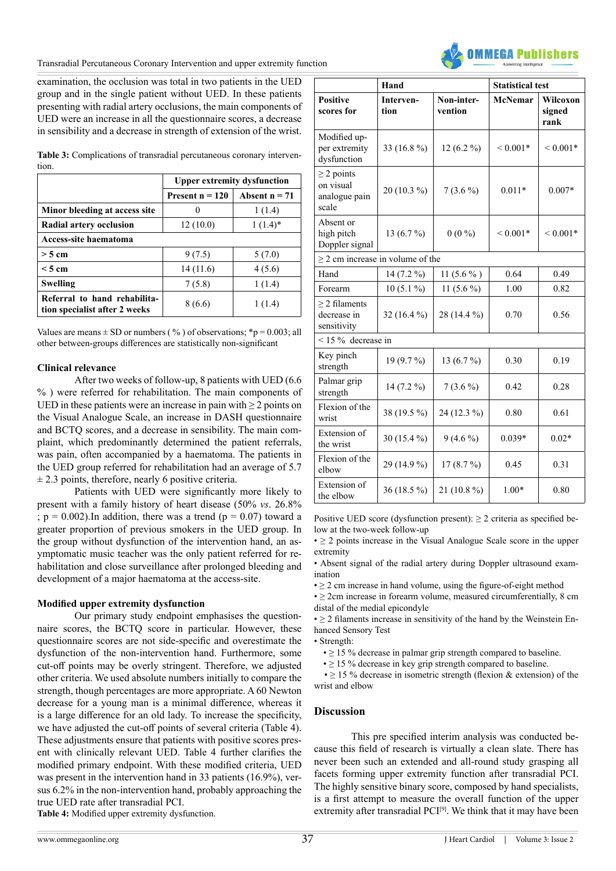Transradial Percutaneous Coronary Intervention and upper extremity function



examination, the occlusion was total in two patients in the UED group and in the single patient without UED. In these patients presenting with radial artery occlusions, the main components of UED were an increase in all the questionnaire scores, a decrease in sensibility and a decrease in strength of extension of the wrist.

**Table 3:** Complications of transradial percutaneous coronary intervention.

|                                                               | <b>Upper extremity dysfunction</b> |                 |  |  |  |
|---------------------------------------------------------------|------------------------------------|-----------------|--|--|--|
|                                                               | Present $n = 120$                  | Absent $n = 71$ |  |  |  |
| Minor bleeding at access site                                 |                                    | 1(1.4)          |  |  |  |
| Radial artery occlusion                                       | 12(10.0)                           | $1(1.4)^*$      |  |  |  |
| Access-site haematoma                                         |                                    |                 |  |  |  |
| $>$ 5 cm                                                      | 9(7.5)                             | 5(7.0)          |  |  |  |
| $\leq$ 5 cm                                                   | 14(11.6)                           | 4(5.6)          |  |  |  |
| Swelling                                                      | 7(5.8)                             | 1(1.4)          |  |  |  |
| Referral to hand rehabilita-<br>tion specialist after 2 weeks | 8 (6.6)                            | 1(1.4)          |  |  |  |

Values are means  $\pm$  SD or numbers (%) of observations; \*p = 0.003; all other between-groups differences are statistically non-significant

#### **Clinical relevance**

After two weeks of follow-up, 8 patients with UED (6.6 % ) were referred for rehabilitation. The main components of UED in these patients were an increase in pain with  $\geq 2$  points on the Visual Analogue Scale, an increase in DASH questionnaire and BCTQ scores, and a decrease in sensibility. The main complaint, which predominantly determined the patient referrals, was pain, often accompanied by a haematoma. The patients in the UED group referred for rehabilitation had an average of 5.7  $\pm$  2.3 points, therefore, nearly 6 positive criteria.

Patients with UED were significantly more likely to present with a family history of heart disease (50% *vs*. 26.8% ;  $p = 0.002$ ). In addition, there was a trend ( $p = 0.07$ ) toward a greater proportion of previous smokers in the UED group. In the group without dysfunction of the intervention hand, an asymptomatic music teacher was the only patient referred for rehabilitation and close surveillance after prolonged bleeding and development of a major haematoma at the access-site.

#### **Modified upper extremity dysfunction**

Our primary study endpoint emphasises the questionnaire scores, the BCTQ score in particular. However, these questionnaire scores are not side-specific and overestimate the dysfunction of the non-intervention hand. Furthermore, some cut-off points may be overly stringent. Therefore, we adjusted other criteria. We used absolute numbers initially to compare the strength, though percentages are more appropriate. A 60 Newton decrease for a young man is a minimal difference, whereas it is a large difference for an old lady. To increase the specificity, we have adjusted the cut-off points of several criteria (Table 4). These adjustments ensure that patients with positive scores present with clinically relevant UED. Table 4 further clarifies the modified primary endpoint. With these modified criteria, UED was present in the intervention hand in 33 patients (16.9%), versus 6.2% in the non-intervention hand, probably approaching the true UED rate after transradial PCI. **Table 4:** Modified upper extremity dysfunction.

|                                                        | Hand              |                       | <b>Statistical test</b> |                            |  |  |
|--------------------------------------------------------|-------------------|-----------------------|-------------------------|----------------------------|--|--|
| <b>Positive</b><br>scores for                          | Interven-<br>tion | Non-inter-<br>vention | <b>McNemar</b>          | Wilcoxon<br>signed<br>rank |  |  |
| Modified up-<br>per extremity<br>dysfunction           | 33 (16.8 %)       | $12(6.2\%)$           | $< 0.001*$              | ${}< 0.001*$               |  |  |
| $\geq$ 2 points<br>on visual<br>analogue pain<br>scale | 20 (10.3 %)       | $7(3.6\%)$            | $0.011*$                | $0.007*$                   |  |  |
| Absent or<br>high pitch<br>Doppler signal              | 13 $(6.7\%)$      | $0(0\%)$              | ${}_{\leq 0.001*}$      | ${}< 0.001*$               |  |  |
| $\geq$ 2 cm increase in volume of the                  |                   |                       |                         |                            |  |  |
| Hand                                                   | 14 (7.2 %)        | $11(5.6\%)$           | 0.64                    | 0.49                       |  |  |
| Forearm                                                | $10(5.1\%)$       | 11 $(5.6\%)$          | 1.00                    | 0.82                       |  |  |
| $>$ 2 filaments<br>decrease in<br>sensitivity          | 32 (16.4 %)       | 28 (14.4 %)           | 0.70                    | 0.56                       |  |  |
| $<$ 15 % decrease in                                   |                   |                       |                         |                            |  |  |
| Key pinch<br>strength                                  | 19 (9.7 %)        | 13 (6.7 %)            | 0.30                    | 0.19                       |  |  |
| Palmar grip<br>14 (7.2 %)<br>strength                  |                   | $7(3.6\%)$<br>0.42    |                         | 0.28                       |  |  |
| Flexion of the<br>38 (19.5 %)<br>wrist                 |                   | 24 (12.3 %)           | 0.80                    | 0.61                       |  |  |
| Extension of<br>the wrist                              | 30 (15.4 %)       | $9(4.6\%)$            | $0.039*$                | $0.02*$                    |  |  |
| Flexion of the<br>elbow                                | 29 (14.9 %)       | 17(8.7%)              | 0.45                    | 0.31                       |  |  |
| Extension of<br>the elbow                              | 36 (18.5 %)       | 21 (10.8 %)           | $1.00*$                 | 0.80                       |  |  |

Positive UED score (dysfunction present):  $\geq 2$  criteria as specified below at the two-week follow-up

 $\bullet$  > 2 points increase in the Visual Analogue Scale score in the upper extremity

• Absent signal of the radial artery during Doppler ultrasound examination

 $\cdot \geq 2$  cm increase in hand volume, using the figure-of-eight method

 $\bullet \geq 2$ cm increase in forearm volume, measured circumferentially, 8 cm distal of the medial epicondyle

 $\cdot \geq 2$  filaments increase in sensitivity of the hand by the Weinstein Enhanced Sensory Test

• Strength:

 $\cdot \geq 15$ % decrease in palmar grip strength compared to baseline.

 $\cdot \geq 15$ % decrease in key grip strength compared to baseline.

 $\cdot \geq 15$ % decrease in isometric strength (flexion & extension) of the wrist and elbow

#### **Discussion**

This pre specified interim analysis was conducted because this field of research is virtually a clean slate. There has never been such an extended and all-round study grasping all facets forming upper extremity function after transradial PCI. The highly sensitive binary score, composed by hand specialists, is a first attempt to measure the overall function of the upper extremity after transradial PCI<sup>[9]</sup>. We think that it may have been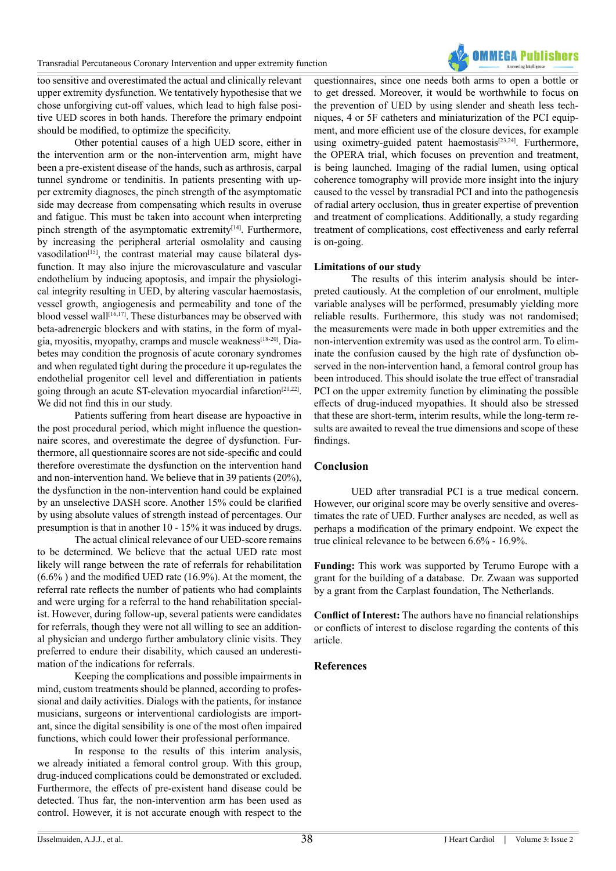Transradial Percutaneous Coronary Intervention and upper extremity function



too sensitive and overestimated the actual and clinically relevant upper extremity dysfunction. We tentatively hypothesise that we chose unforgiving cut-off values, which lead to high false positive UED scores in both hands. Therefore the primary endpoint should be modified, to optimize the specificity.

Other potential causes of a high UED score, either in the intervention arm or the non-intervention arm, might have been a pre-existent disease of the hands, such as arthrosis, carpal tunnel syndrome or tendinitis. In patients presenting with upper extremity diagnoses, the pinch strength of the asymptomatic side may decrease from compensating which results in overuse and fatigue. This must be taken into account when interpreting pinch strength of the asymptomatic extremity $[14]$ . Furthermore, by increasing the peripheral arterial osmolality and causing vasodilation<sup>[15]</sup>, the contrast material may cause bilateral dysfunction. It may also injure the microvasculature and vascular endothelium by inducing apoptosis, and impair the physiological integrity resulting in UED, by altering vascular haemostasis, vessel growth, angiogenesis and permeability and tone of the blood vessel wall<sup>[16,17]</sup>. These disturbances may be observed with beta-adrenergic blockers and with statins, in the form of myalgia, myositis, myopathy, cramps and muscle weakness[\[18-20\]](#page-5-10). Diabetes may condition the prognosis of acute coronary syndromes and when regulated tight during the procedure it up-regulates the endothelial progenitor cell level and differentiation in patients going through an acute ST-elevation myocardial infarctio[n\[21,22\]](#page-5-11). We did not find this in our study.

Patients suffering from heart disease are hypoactive in the post procedural period, which might influence the questionnaire scores, and overestimate the degree of dysfunction. Furthermore, all questionnaire scores are not side-specific and could therefore overestimate the dysfunction on the intervention hand and non-intervention hand. We believe that in 39 patients (20%), the dysfunction in the non-intervention hand could be explained by an unselective DASH score. Another 15% could be clarified by using absolute values of strength instead of percentages. Our presumption is that in another 10 - 15% it was induced by drugs.

The actual clinical relevance of our UED-score remains to be determined. We believe that the actual UED rate most likely will range between the rate of referrals for rehabilitation (6.6% ) and the modified UED rate (16.9%). At the moment, the referral rate reflects the number of patients who had complaints and were urging for a referral to the hand rehabilitation specialist. However, during follow-up, several patients were candidates for referrals, though they were not all willing to see an additional physician and undergo further ambulatory clinic visits. They preferred to endure their disability, which caused an underestimation of the indications for referrals.

Keeping the complications and possible impairments in mind, custom treatments should be planned, according to professional and daily activities. Dialogs with the patients, for instance musicians, surgeons or interventional cardiologists are important, since the digital sensibility is one of the most often impaired functions, which could lower their professional performance.

In response to the results of this interim analysis, we already initiated a femoral control group. With this group, drug-induced complications could be demonstrated or excluded. Furthermore, the effects of pre-existent hand disease could be detected. Thus far, the non-intervention arm has been used as control. However, it is not accurate enough with respect to the

questionnaires, since one needs both arms to open a bottle or to get dressed. Moreover, it would be worthwhile to focus on the prevention of UED by using slender and sheath less techniques, 4 or 5F catheters and miniaturization of the PCI equipment, and more efficient use of the closure devices, for example using oximetry-guided patent haemostasis<sup>[23,24]</sup>. Furthermore, the OPERA trial, which focuses on prevention and treatment, is being launched. Imaging of the radial lumen, using optical coherence tomography will provide more insight into the injury caused to the vessel by transradial PCI and into the pathogenesis of radial artery occlusion, thus in greater expertise of prevention and treatment of complications. Additionally, a study regarding treatment of complications, cost effectiveness and early referral is on-going.

#### **Limitations of our study**

The results of this interim analysis should be interpreted cautiously. At the completion of our enrolment, multiple variable analyses will be performed, presumably yielding more reliable results. Furthermore, this study was not randomised; the measurements were made in both upper extremities and the non-intervention extremity was used as the control arm. To eliminate the confusion caused by the high rate of dysfunction observed in the non-intervention hand, a femoral control group has been introduced. This should isolate the true effect of transradial PCI on the upper extremity function by eliminating the possible effects of drug-induced myopathies. It should also be stressed that these are short-term, interim results, while the long-term results are awaited to reveal the true dimensions and scope of these findings.

#### **Conclusion**

UED after transradial PCI is a true medical concern. However, our original score may be overly sensitive and overestimates the rate of UED. Further analyses are needed, as well as perhaps a modification of the primary endpoint. We expect the true clinical relevance to be between 6.6% - 16.9%.

**Funding:** This work was supported by Terumo Europe with a grant for the building of a database. Dr. Zwaan was supported by a grant from the Carplast foundation, The Netherlands.

**Conflict of Interest:** The authors have no financial relationships or conflicts of interest to disclose regarding the contents of this article.

#### **References**